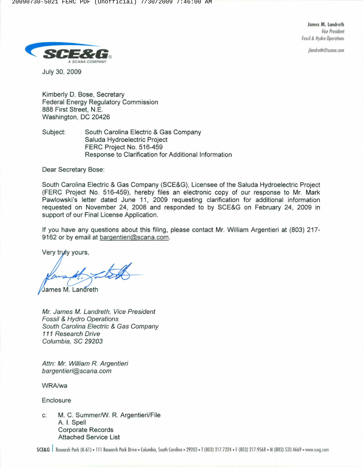James M. Landreth *Vire P,esidenl* **Fossil & Hydro Operations** 

*jlandrelh@Srano.[om*



July 30, 2009

Kimberly D. Bose, Secretary Federal Energy Regulatory Commission 888 First Street, N.E. Washington, DC 20426

Subject: South Carolina Electric & Gas Company Saluda Hydroelectric Project FERC Project No. 516-459 Response to Clarification for Additional Information

Dear Secretary Bose:

South Carolina Electric & Gas Company (SCE&G), Licensee of the Saluda Hydroelectric Project (FERC Project No. 516-459), hereby files an electronic copy of our response to Mr. Mark Pawlowski's letter dated June 11, 2009 requesting clarification for additional information requested on November 24, 2008 and responded to by SCE&G on February 24, 2009 in support of our Final License Application.

If you have any questions about this filing, please contact Mr. William Argentieri at (803) 217- 9162 or by email at bargentieri@scana.com.

Very truly yours,

James M. Landreth

*Mr. James* M. *Landreth, Vice President Fossil* & *Hydro Operations South Carolina Electric* & Gas *Company 111 Research Drive Columbia, SC 29203*

*Attn: Mr. William R. Argentieri [bargentieri@scana.com](mailto:bargentieri@scana.com)*

WRA/wa

Enclosure

c: M. C. Summer/W. R. Argentieri/File A. 1. Spell Corporate Records Attached Service List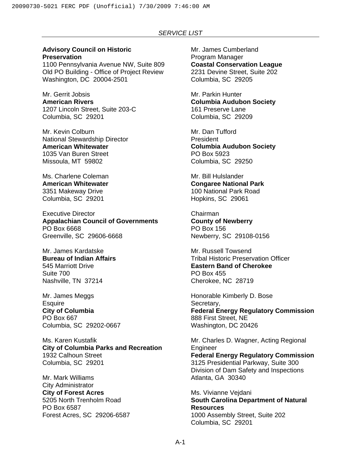## **Advisory Council on Historic Preservation**

1100 Pennsylvania Avenue NW, Suite 809 Old PO Building - Office of Project Review Washington, DC 20004-2501

Mr. Gerrit Jobsis **American Rivers**  1207 Lincoln Street, Suite 203-C Columbia, SC 29201

Mr. Kevin Colburn National Stewardship Director **American Whitewater**  1035 Van Buren Street Missoula, MT 59802

Ms. Charlene Coleman **American Whitewater**  3351 Makeway Drive Columbia, SC 29201

Executive Director **Appalachian Council of Governments**  PO Box 6668 Greenville, SC 29606-6668

Mr. James Kardatske **Bureau of Indian Affairs**  545 Marriott Drive Suite 700 Nashville, TN 37214

Mr. James Meggs **Esquire City of Columbia**  PO Box 667 Columbia, SC 29202-0667

Ms. Karen Kustafik **City of Columbia Parks and Recreation**  1932 Calhoun Street Columbia, SC 29201

Mr. Mark Williams City Administrator **City of Forest Acres**  5205 North Trenholm Road PO Box 6587 Forest Acres, SC 29206-6587 Mr. James Cumberland Program Manager **Coastal Conservation League**  2231 Devine Street, Suite 202 Columbia, SC 29205

Mr. Parkin Hunter **Columbia Audubon Society**  161 Preserve Lane Columbia, SC 29209

Mr. Dan Tufford President **Columbia Audubon Society**  PO Box 5923 Columbia, SC 29250

Mr. Bill Hulslander **Congaree National Park**  100 National Park Road Hopkins, SC 29061

Chairman **County of Newberry**  PO Box 156 Newberry, SC 29108-0156

Mr. Russell Towsend Tribal Historic Preservation Officer **Eastern Band of Cherokee**  PO Box 455 Cherokee, NC 28719

Honorable Kimberly D. Bose Secretary, **Federal Energy Regulatory Commission** 888 First Street, NE Washington, DC 20426

Mr. Charles D. Wagner, Acting Regional Engineer **Federal Energy Regulatory Commission**  3125 Presidential Parkway, Suite 300 Division of Dam Safety and Inspections Atlanta, GA 30340

Ms. Vivianne Vejdani **South Carolina Department of Natural Resources**  1000 Assembly Street, Suite 202 Columbia, SC 29201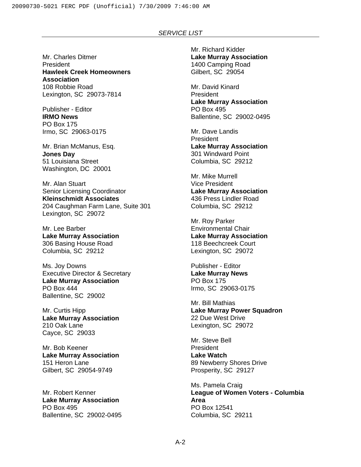Mr. Charles Ditmer President **Hawleek Creek Homeowners Association**  108 Robbie Road Lexington, SC 29073-7814

Publisher - Editor **IRMO News**  PO Box 175 Irmo, SC 29063-0175

Mr. Brian McManus, Esq. **Jones Day**  51 Louisiana Street Washington, DC 20001

Mr. Alan Stuart Senior Licensing Coordinator **Kleinschmidt Associates**  204 Caughman Farm Lane, Suite 301 Lexington, SC 29072

Mr. Lee Barber **Lake Murray Association**  306 Basing House Road Columbia, SC 29212

Ms. Joy Downs Executive Director & Secretary **Lake Murray Association**  PO Box 444 Ballentine, SC 29002

Mr. Curtis Hipp **Lake Murray Association**  210 Oak Lane Cayce, SC 29033

Mr. Bob Keener **Lake Murray Association**  151 Heron Lane Gilbert, SC 29054-9749

Mr. Robert Kenner **Lake Murray Association**  PO Box 495 Ballentine, SC 29002-0495 Mr. Richard Kidder **Lake Murray Association**  1400 Camping Road Gilbert, SC 29054

Mr. David Kinard President **Lake Murray Association**  PO Box 495 Ballentine, SC 29002-0495

Mr. Dave Landis President **Lake Murray Association**  301 Windward Point Columbia, SC 29212

Mr. Mike Murrell Vice President **Lake Murray Association**  436 Press Lindler Road Columbia, SC 29212

Mr. Roy Parker Environmental Chair **Lake Murray Association**  118 Beechcreek Court Lexington, SC 29072

Publisher - Editor **Lake Murray News**  PO Box 175 Irmo, SC 29063-0175

Mr. Bill Mathias **Lake Murray Power Squadron**  22 Due West Drive Lexington, SC 29072

Mr. Steve Bell **President Lake Watch**  89 Newberry Shores Drive Prosperity, SC 29127

Ms. Pamela Craig **League of Women Voters - Columbia Area**  PO Box 12541 Columbia, SC 29211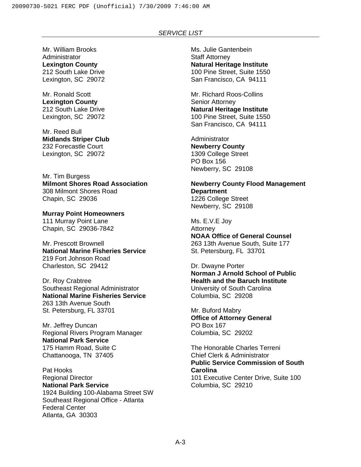Mr. William Brooks Administrator **Lexington County**  212 South Lake Drive Lexington, SC 29072

Mr. Ronald Scott **Lexington County**  212 South Lake Drive Lexington, SC 29072

Mr. Reed Bull **Midlands Striper Club**  232 Forecastle Court Lexington, SC 29072

Mr. Tim Burgess **Milmont Shores Road Association**  308 Milmont Shores Road Chapin, SC 29036

**Murray Point Homeowners**  111 Murray Point Lane Chapin, SC 29036-7842

Mr. Prescott Brownell **National Marine Fisheries Service**  219 Fort Johnson Road Charleston, SC 29412

Dr. Roy Crabtree Southeast Regional Administrator **National Marine Fisheries Service**  263 13th Avenue South St. Petersburg, FL 33701

Mr. Jeffrey Duncan Regional Rivers Program Manager **National Park Service**  175 Hamm Road, Suite C Chattanooga, TN 37405

Pat Hooks Regional Director **National Park Service**  1924 Building 100-Alabama Street SW Southeast Regional Office - Atlanta Federal Center Atlanta, GA 30303

Ms. Julie Gantenbein Staff Attorney **Natural Heritage Institute**  100 Pine Street, Suite 1550 San Francisco, CA 94111

Mr. Richard Roos-Collins Senior Attorney **Natural Heritage Institute**  100 Pine Street, Suite 1550 San Francisco, CA 94111

**Administrator Newberry County**  1309 College Street PO Box 156 Newberry, SC 29108

**Newberry County Flood Management Department**  1226 College Street Newberry, SC 29108

Ms. E.V.E Joy Attorney **NOAA Office of General Counsel**  263 13th Avenue South, Suite 177 St. Petersburg, FL 33701

Dr. Dwayne Porter **Norman J Arnold School of Public Health and the Baruch Institute**  University of South Carolina Columbia, SC 29208

Mr. Buford Mabry **Office of Attorney General**  PO Box 167 Columbia, SC 29202

The Honorable Charles Terreni Chief Clerk & Administrator **Public Service Commission of South Carolina**  101 Executive Center Drive, Suite 100 Columbia, SC 29210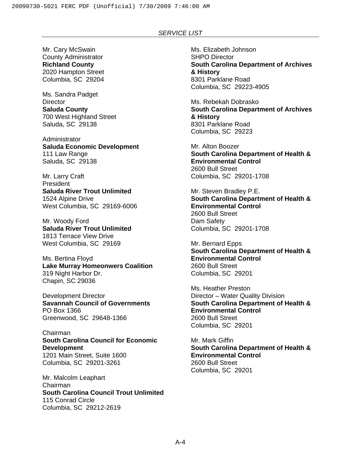Mr. Cary McSwain County Administrator **Richland County**  2020 Hampton Street Columbia, SC 29204

Ms. Sandra Padget **Director Saluda County**  700 West Highland Street Saluda, SC 29138

**Administrator Saluda Economic Development**  111 Law Range Saluda, SC 29138

Mr. Larry Craft President **Saluda River Trout Unlimited**  1524 Alpine Drive West Columbia, SC 29169-6006

Mr. Woody Ford **Saluda River Trout Unlimited**  1813 Terrace View Drive West Columbia, SC 29169

Ms. Bertina Floyd **Lake Murray Homeonwers Coalition**  319 Night Harbor Dr. Chapin, SC 29036

Development Director **Savannah Council of Governments**  PO Box 1366 Greenwood, SC 29648-1366

Chairman **South Carolina Council for Economic Development**  1201 Main Street, Suite 1600 Columbia, SC 29201-3261

Mr. Malcolm Leaphart Chairman **South Carolina Council Trout Unlimited**  115 Conrad Circle Columbia, SC 29212-2619

Ms. Elizabeth Johnson SHPO Director **South Carolina Department of Archives & History**  8301 Parklane Road Columbia, SC 29223-4905

Ms. Rebekah Dobrasko **South Carolina Department of Archives & History**  8301 Parklane Road Columbia, SC 29223

Mr. Alton Boozer **South Carolina Department of Health & Environmental Control**  2600 Bull Street Columbia, SC 29201-1708

Mr. Steven Bradley P.E. **South Carolina Department of Health & Environmental Control**  2600 Bull Street Dam Safety Columbia, SC 29201-1708

Mr. Bernard Epps **South Carolina Department of Health & Environmental Control**  2600 Bull Street Columbia, SC 29201

Ms. Heather Preston Director – Water Quality Division **South Carolina Department of Health & Environmental Control**  2600 Bull Street Columbia, SC 29201

Mr. Mark Giffin **South Carolina Department of Health & Environmental Control**  2600 Bull Street Columbia, SC 29201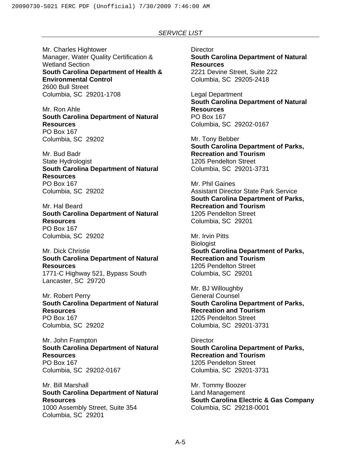Mr. Charles Hightower Manager, Water Quality Certification & Wetland Section **South Carolina Department of Health & Environmental Control**  2600 Bull Street Columbia, SC 29201-1708

Mr. Ron Ahle **South Carolina Department of Natural Resources**  PO Box 167 Columbia, SC 29202

Mr. Bud Badr State Hydrologist **South Carolina Department of Natural Resources**  PO Box 167 Columbia, SC 29202

Mr. Hal Beard **South Carolina Department of Natural Resources**  PO Box 167 Columbia, SC 29202

Mr. Dick Christie **South Carolina Department of Natural Resources**  1771-C Highway 521, Bypass South Lancaster, SC 29720

Mr. Robert Perry **South Carolina Department of Natural Resources**  PO Box 167 Columbia, SC 29202

Mr. John Frampton **South Carolina Department of Natural Resources**  PO Box 167 Columbia, SC 29202-0167

Mr. Bill Marshall **South Carolina Department of Natural Resources**  1000 Assembly Street, Suite 354 Columbia, SC 29201

**Director South Carolina Department of Natural Resources**  2221 Devine Street, Suite 222 Columbia, SC 29205-2418

Legal Department **South Carolina Department of Natural Resources**  PO Box 167 Columbia, SC 29202-0167

Mr. Tony Bebber **South Carolina Department of Parks, Recreation and Tourism**  1205 Pendelton Street Columbia, SC 29201-3731

Mr. Phil Gaines Assistant Director State Park Service **South Carolina Department of Parks, Recreation and Tourism**  1205 Pendelton Street Columbia, SC 29201

Mr. Irvin Pitts **Biologist South Carolina Department of Parks, Recreation and Tourism**  1205 Pendelton Street Columbia, SC 29201

Mr. BJ Willoughby General Counsel **South Carolina Department of Parks, Recreation and Tourism**  1205 Pendelton Street Columbia, SC 29201-3731

**Director South Carolina Department of Parks, Recreation and Tourism**  1205 Pendelton Street Columbia, SC 29201-3731

Mr. Tommy Boozer Land Management **South Carolina Electric & Gas Company**  Columbia, SC 29218-0001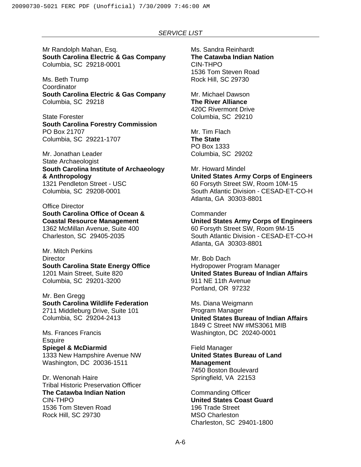Mr Randolph Mahan, Esq. **South Carolina Electric & Gas Company**  Columbia, SC 29218-0001

Ms. Beth Trump **Coordinator South Carolina Electric & Gas Company**  Columbia, SC 29218

State Forester **South Carolina Forestry Commission**  PO Box 21707 Columbia, SC 29221-1707

Mr. Jonathan Leader State Archaeologist **South Carolina Institute of Archaeology & Anthropology**  1321 Pendleton Street - USC Columbia, SC 29208-0001

Office Director **South Carolina Office of Ocean & Coastal Resource Management**  1362 McMillan Avenue, Suite 400 Charleston, SC 29405-2035

Mr. Mitch Perkins **Director South Carolina State Energy Office**  1201 Main Street, Suite 820 Columbia, SC 29201-3200

Mr. Ben Gregg **South Carolina Wildlife Federation**  2711 Middleburg Drive, Suite 101 Columbia, SC 29204-2413

Ms. Frances Francis **Esquire Spiegel & McDiarmid**  1333 New Hampshire Avenue NW Washington, DC 20036-1511

Dr. Wenonah Haire Tribal Historic Preservation Officer **The Catawba Indian Nation**  CIN-THPO 1536 Tom Steven Road Rock Hill, SC 29730

Ms. Sandra Reinhardt **The Catawba Indian Nation**  CIN-THPO 1536 Tom Steven Road Rock Hill, SC 29730

Mr. Michael Dawson **The River Alliance**  420C Rivermont Drive Columbia, SC 29210

Mr. Tim Flach **The State**  PO Box 1333 Columbia, SC 29202

Mr. Howard Mindel **United States Army Corps of Engineers**  60 Forsyth Street SW, Room 10M-15 South Atlantic Division - CESAD-ET-CO-H Atlanta, GA 30303-8801

**Commander United States Army Corps of Engineers**  60 Forsyth Street SW, Room 9M-15 South Atlantic Division - CESAD-ET-CO-H Atlanta, GA 30303-8801

Mr. Bob Dach Hydropower Program Manager **United States Bureau of Indian Affairs**  911 NE 11th Avenue Portland, OR 97232

Ms. Diana Weigmann Program Manager **United States Bureau of Indian Affairs**  1849 C Street NW #MS3061 MIB Washington, DC 20240-0001

Field Manager **United States Bureau of Land Management**  7450 Boston Boulevard Springfield, VA 22153

Commanding Officer **United States Coast Guard**  196 Trade Street MSO Charleston Charleston, SC 29401-1800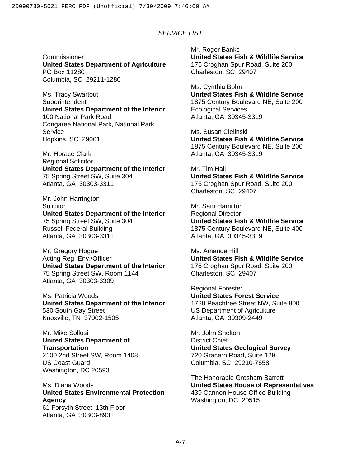Commissioner **United States Department of Agriculture**  PO Box 11280 Columbia, SC 29211-1280

Ms. Tracy Swartout **Superintendent United States Department of the Interior**  100 National Park Road Congaree National Park, National Park **Service** Hopkins, SC 29061

Mr. Horace Clark Regional Solicitor **United States Department of the Interior**  75 Spring Street SW, Suite 304 Atlanta, GA 30303-3311

Mr. John Harrington **Solicitor United States Department of the Interior**  75 Spring Street SW, Suite 304 Russell Federal Building Atlanta, GA 30303-3311

Mr. Gregory Hogue Acting Reg. Env./Officer **United States Department of the Interior**  75 Spring Street SW, Room 1144 Atlanta, GA 30303-3309

Ms. Patricia Woods **United States Department of the Interior**  530 South Gay Street Knoxville, TN 37902-1505

Mr. Mike Sollosi **United States Department of Transportation**  2100 2nd Street SW, Room 1408 US Coast Guard Washington, DC 20593

Ms. Diana Woods **United States Environmental Protection Agency**  61 Forsyth Street, 13th Floor Atlanta, GA 30303-8931

Mr. Roger Banks **United States Fish & Wildlife Service**  176 Croghan Spur Road, Suite 200 Charleston, SC 29407

Ms. Cynthia Bohn **United States Fish & Wildlife Service**  1875 Century Boulevard NE, Suite 200 Ecological Services Atlanta, GA 30345-3319

Ms. Susan Cielinski **United States Fish & Wildlife Service**  1875 Century Boulevard NE, Suite 200 Atlanta, GA 30345-3319

Mr. Tim Hall **United States Fish & Wildlife Service**  176 Croghan Spur Road, Suite 200 Charleston, SC 29407

Mr. Sam Hamilton Regional Director **United States Fish & Wildlife Service**  1875 Century Boulevard NE, Suite 400 Atlanta, GA 30345-3319

Ms. Amanda Hill **United States Fish & Wildlife Service**  176 Croghan Spur Road, Suite 200 Charleston, SC 29407

Regional Forester **United States Forest Service**  1720 Peachtree Street NW, Suite 800' US Department of Agriculture Atlanta, GA 30309-2449

Mr. John Shelton District Chief **United States Geological Survey**  720 Gracern Road, Suite 129 Columbia, SC 29210-7658

The Honorable Gresham Barrett **United States House of Representatives**  439 Cannon House Office Building Washington, DC 20515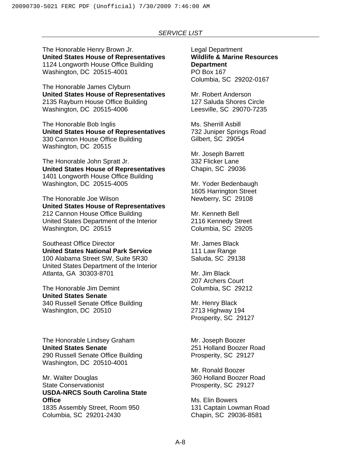The Honorable Henry Brown Jr. **United States House of Representatives**  1124 Longworth House Office Building Washington, DC 20515-4001

The Honorable James Clyburn **United States House of Representatives**  2135 Rayburn House Office Building Washington, DC 20515-4006

The Honorable Bob Inglis **United States House of Representatives**  330 Cannon House Office Building Washington, DC 20515

The Honorable John Spratt Jr. **United States House of Representatives**  1401 Longworth House Office Building Washington, DC 20515-4005

The Honorable Joe Wilson **United States House of Representatives**  212 Cannon House Office Building United States Department of the Interior Washington, DC 20515

Southeast Office Director **United States National Park Service**  100 Alabama Street SW, Suite 5R30 United States Department of the Interior Atlanta, GA 30303-8701

The Honorable Jim Demint **United States Senate**  340 Russell Senate Office Building Washington, DC 20510

The Honorable Lindsey Graham **United States Senate**  290 Russell Senate Office Building Washington, DC 20510-4001

Mr. Walter Douglas State Conservationist **USDA-NRCS South Carolina State Office** 

1835 Assembly Street, Room 950 Columbia, SC 29201-2430

Legal Department **Wildlife & Marine Resources Department**  PO Box 167 Columbia, SC 29202-0167

Mr. Robert Anderson 127 Saluda Shores Circle Leesville, SC 29070-7235

Ms. Sherrill Asbill 732 Juniper Springs Road Gilbert, SC 29054

Mr. Joseph Barrett 332 Flicker Lane Chapin, SC 29036

Mr. Yoder Bedenbaugh 1605 Harrington Street Newberry, SC 29108

Mr. Kenneth Bell 2116 Kennedy Street Columbia, SC 29205

Mr. James Black 111 Law Range Saluda, SC 29138

Mr. Jim Black 207 Archers Court Columbia, SC 29212

Mr. Henry Black 2713 Highway 194 Prosperity, SC 29127

Mr. Joseph Boozer 251 Holland Boozer Road Prosperity, SC 29127

Mr. Ronald Boozer 360 Holland Boozer Road Prosperity, SC 29127

Ms. Elin Bowers 131 Captain Lowman Road Chapin, SC 29036-8581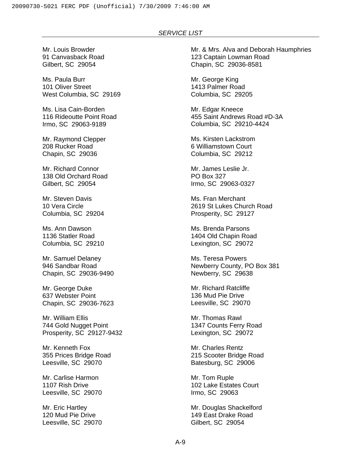Mr. Louis Browder 91 Canvasback Road Gilbert, SC 29054

Ms. Paula Burr 101 Oliver Street West Columbia, SC 29169

Ms. Lisa Cain-Borden 116 Rideoutte Point Road Irmo, SC 29063-9189

Mr. Raymond Clepper 208 Rucker Road Chapin, SC 29036

Mr. Richard Connor 138 Old Orchard Road Gilbert, SC 29054

Mr. Steven Davis 10 Vera Circle Columbia, SC 29204

Ms. Ann Dawson 1136 Statler Road Columbia, SC 29210

Mr. Samuel Delaney 946 Sandbar Road Chapin, SC 29036-9490

Mr. George Duke 637 Webster Point Chapin, SC 29036-7623

Mr. William Ellis 744 Gold Nugget Point Prosperity, SC 29127-9432

Mr. Kenneth Fox 355 Prices Bridge Road Leesville, SC 29070

Mr. Carlise Harmon 1107 Rish Drive Leesville, SC 29070

Mr. Eric Hartley 120 Mud Pie Drive Leesville, SC 29070 Mr. & Mrs. Alva and Deborah Haumphries 123 Captain Lowman Road Chapin, SC 29036-8581

Mr. George King 1413 Palmer Road Columbia, SC 29205

Mr. Edgar Kneece 455 Saint Andrews Road #D-3A Columbia, SC 29210-4424

Ms. Kirsten Lackstrom 6 Williamstown Court Columbia, SC 29212

Mr. James Leslie Jr. PO Box 327 Irmo, SC 29063-0327

Ms. Fran Merchant 2619 St Lukes Church Road Prosperity, SC 29127

Ms. Brenda Parsons 1404 Old Chapin Road Lexington, SC 29072

Ms. Teresa Powers Newberry County, PO Box 381 Newberry, SC 29638

Mr. Richard Ratcliffe 136 Mud Pie Drive Leesville, SC 29070

Mr. Thomas Rawl 1347 Counts Ferry Road Lexington, SC 29072

Mr. Charles Rentz 215 Scooter Bridge Road Batesburg, SC 29006

Mr. Tom Ruple 102 Lake Estates Court Irmo, SC 29063

Mr. Douglas Shackelford 149 East Drake Road Gilbert, SC 29054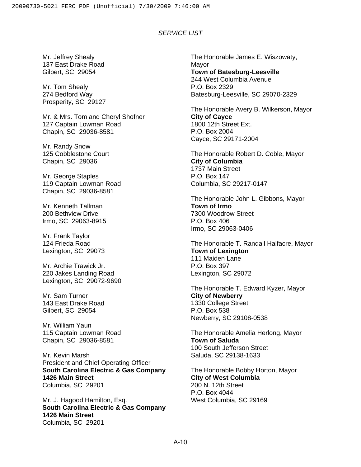Mr. Jeffrey Shealy 137 East Drake Road Gilbert, SC 29054

Mr. Tom Shealy 274 Bedford Way Prosperity, SC 29127

Mr. & Mrs. Tom and Cheryl Shofner 127 Captain Lowman Road Chapin, SC 29036-8581

Mr. Randy Snow 125 Cobblestone Court Chapin, SC 29036

Mr. George Staples 119 Captain Lowman Road Chapin, SC 29036-8581

Mr. Kenneth Tallman 200 Bethview Drive Irmo, SC 29063-8915

Mr. Frank Taylor 124 Frieda Road Lexington, SC 29073

Mr. Archie Trawick Jr. 220 Jakes Landing Road Lexington, SC 29072-9690

Mr. Sam Turner 143 East Drake Road Gilbert, SC 29054

Mr. William Yaun 115 Captain Lowman Road Chapin, SC 29036-8581

Mr. Kevin Marsh President and Chief Operating Officer **South Carolina Electric & Gas Company 1426 Main Street**  Columbia, SC 29201

Mr. J. Hagood Hamilton, Esq. **South Carolina Electric & Gas Company 1426 Main Street**  Columbia, SC 29201

The Honorable James E. Wiszowaty, Mayor **Town of Batesburg-Leesville**  244 West Columbia Avenue P.O. Box 2329 Batesburg-Leesville, SC 29070-2329

The Honorable Avery B. Wilkerson, Mayor **City of Cayce**  1800 12th Street Ext. P.O. Box 2004 Cayce, SC 29171-2004

The Honorable Robert D. Coble, Mayor **City of Columbia**  1737 Main Street P.O. Box 147 Columbia, SC 29217-0147

The Honorable John L. Gibbons, Mayor **Town of Irmo**  7300 Woodrow Street P.O. Box 406 Irmo, SC 29063-0406

The Honorable T. Randall Halfacre, Mayor **Town of Lexington**  111 Maiden Lane P.O. Box 397 Lexington, SC 29072

The Honorable T. Edward Kyzer, Mayor **City of Newberry**  1330 College Street P.O. Box 538 Newberry, SC 29108-0538

The Honorable Amelia Herlong, Mayor **Town of Saluda**  100 South Jefferson Street Saluda, SC 29138-1633

The Honorable Bobby Horton, Mayor **City of West Columbia**  200 N. 12th Street P.O. Box 4044 West Columbia, SC 29169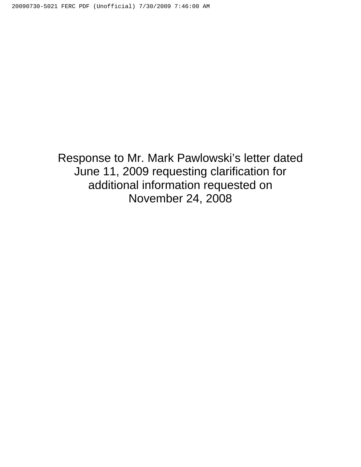Response to Mr. Mark Pawlowski's letter dated June 11, 2009 requesting clarification for additional information requested on November 24, 2008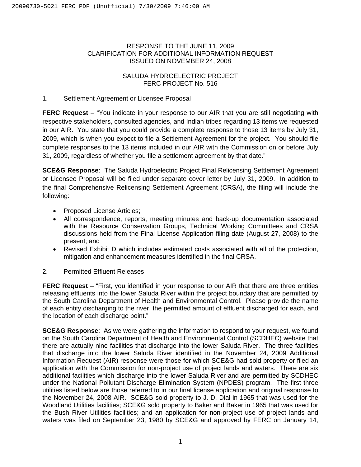### RESPONSE TO THE JUNE 11, 2009 CLARIFICATION FOR ADDITIONAL INFORMATION REQUEST ISSUED ON NOVEMBER 24, 2008

## SALUDA HYDROELECTRIC PROJECT FERC PROJECT No. 516

## 1. Settlement Agreement or Licensee Proposal

**FERC Request** – "You indicate in your response to our AIR that you are still negotiating with respective stakeholders, consulted agencies, and Indian tribes regarding 13 items we requested in our AIR. You state that you could provide a complete response to those 13 items by July 31, 2009, which is when you expect to file a Settlement Agreement for the project. You should file complete responses to the 13 items included in our AIR with the Commission on or before July 31, 2009, regardless of whether you file a settlement agreement by that date."

**SCE&G Response**: The Saluda Hydroelectric Project Final Relicensing Settlement Agreement or Licensee Proposal will be filed under separate cover letter by July 31, 2009. In addition to the final Comprehensive Relicensing Settlement Agreement (CRSA), the filing will include the following:

- Proposed License Articles;
- All correspondence, reports, meeting minutes and back-up documentation associated with the Resource Conservation Groups, Technical Working Committees and CRSA discussions held from the Final License Application filing date (August 27, 2008) to the present; and
- Revised Exhibit D which includes estimated costs associated with all of the protection, mitigation and enhancement measures identified in the final CRSA.
- 2. Permitted Effluent Releases

**FERC Request** – "First, you identified in your response to our AIR that there are three entities releasing effluents into the lower Saluda River within the project boundary that are permitted by the South Carolina Department of Health and Environmental Control. Please provide the name of each entity discharging to the river, the permitted amount of effluent discharged for each, and the location of each discharge point."

**SCE&G Response**: As we were gathering the information to respond to your request, we found on the South Carolina Department of Health and Environmental Control (SCDHEC) website that there are actually nine facilities that discharge into the lower Saluda River. The three facilities that discharge into the lower Saluda River identified in the November 24, 2009 Additional Information Request (AIR) response were those for which SCE&G had sold property or filed an application with the Commission for non-project use of project lands and waters. There are six additional facilities which discharge into the lower Saluda River and are permitted by SCDHEC under the National Pollutant Discharge Elimination System (NPDES) program. The first three utilities listed below are those referred to in our final license application and original response to the November 24, 2008 AIR. SCE&G sold property to J. D. Dial in 1965 that was used for the Woodland Utilities facilities; SCE&G sold property to Baker and Baker in 1965 that was used for the Bush River Utilities facilities; and an application for non-project use of project lands and waters was filed on September 23, 1980 by SCE&G and approved by FERC on January 14,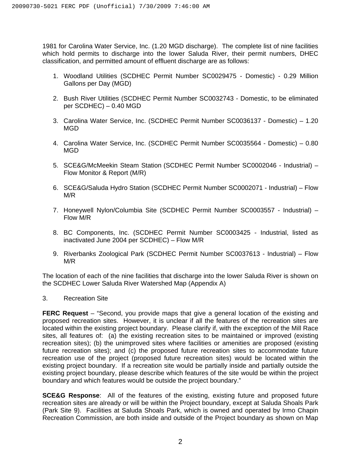1981 for Carolina Water Service, Inc. (1.20 MGD discharge). The complete list of nine facilities which hold permits to discharge into the lower Saluda River, their permit numbers, DHEC classification, and permitted amount of effluent discharge are as follows:

- 1. Woodland Utilities (SCDHEC Permit Number SC0029475 Domestic) 0.29 Million Gallons per Day (MGD)
- 2. Bush River Utilities (SCDHEC Permit Number SC0032743 Domestic, to be eliminated per SCDHEC) – 0.40 MGD
- 3. Carolina Water Service, Inc. (SCDHEC Permit Number SC0036137 Domestic) 1.20 MGD
- 4. Carolina Water Service, Inc. (SCDHEC Permit Number SC0035564 Domestic) 0.80 MGD
- 5. SCE&G/McMeekin Steam Station (SCDHEC Permit Number SC0002046 Industrial) Flow Monitor & Report (M/R)
- 6. SCE&G/Saluda Hydro Station (SCDHEC Permit Number SC0002071 Industrial) Flow M/R
- 7. Honeywell Nylon/Columbia Site (SCDHEC Permit Number SC0003557 Industrial) Flow M/R
- 8. BC Components, Inc. (SCDHEC Permit Number SC0003425 Industrial, listed as inactivated June 2004 per SCDHEC) – Flow M/R
- 9. Riverbanks Zoological Park (SCDHEC Permit Number SC0037613 Industrial) Flow M/R

The location of each of the nine facilities that discharge into the lower Saluda River is shown on the SCDHEC Lower Saluda River Watershed Map (Appendix A)

## 3. Recreation Site

**FERC Request** – "Second, you provide maps that give a general location of the existing and proposed recreation sites. However, it is unclear if all the features of the recreation sites are located within the existing project boundary. Please clarify if, with the exception of the Mill Race sites, all features of: (a) the existing recreation sites to be maintained or improved (existing recreation sites); (b) the unimproved sites where facilities or amenities are proposed (existing future recreation sites); and (c) the proposed future recreation sites to accommodate future recreation use of the project (proposed future recreation sites) would be located within the existing project boundary. If a recreation site would be partially inside and partially outside the existing project boundary, please describe which features of the site would be within the project boundary and which features would be outside the project boundary."

**SCE&G Response**: All of the features of the existing, existing future and proposed future recreation sites are already or will be within the Project boundary, except at Saluda Shoals Park (Park Site 9). Facilities at Saluda Shoals Park, which is owned and operated by Irmo Chapin Recreation Commission, are both inside and outside of the Project boundary as shown on Map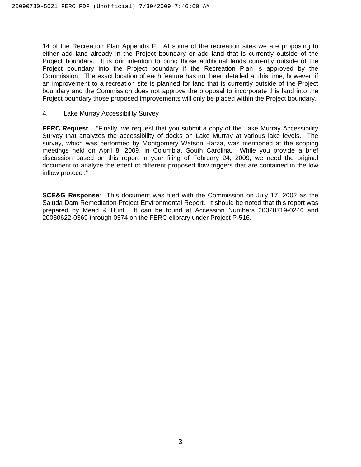14 of the Recreation Plan Appendix F. At some of the recreation sites we are proposing to either add land already in the Project boundary or add land that is currently outside of the Project boundary. It is our intention to bring those additional lands currently outside of the Project boundary into the Project boundary if the Recreation Plan is approved by the Commission. The exact location of each feature has not been detailed at this time, however, if an improvement to a recreation site is planned for land that is currently outside of the Project boundary and the Commission does not approve the proposal to incorporate this land into the Project boundary those proposed improvements will only be placed within the Project boundary.

4. Lake Murray Accessibility Survey

**FERC Request** – "Finally, we request that you submit a copy of the Lake Murray Accessibility Survey that analyzes the accessibility of docks on Lake Murray at various lake levels. The survey, which was performed by Montgomery Watson Harza, was mentioned at the scoping meetings held on April 8, 2009, in Columbia, South Carolina. While you provide a brief discussion based on this report in your filing of February 24, 2009, we need the original document to analyze the effect of different proposed flow triggers that are contained in the low inflow protocol."

**SCE&G Response**: This document was filed with the Commission on July 17, 2002 as the Saluda Dam Remediation Project Environmental Report. It should be noted that this report was prepared by Mead & Hunt. It can be found at Accession Numbers 20020719-0246 and 20030622-0369 through 0374 on the FERC elibrary under Project P-516.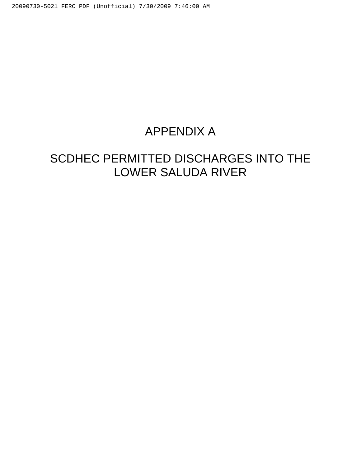## APPENDIX A

# SCDHEC PERMITTED DISCHARGES INTO THE LOWER SALUDA RIVER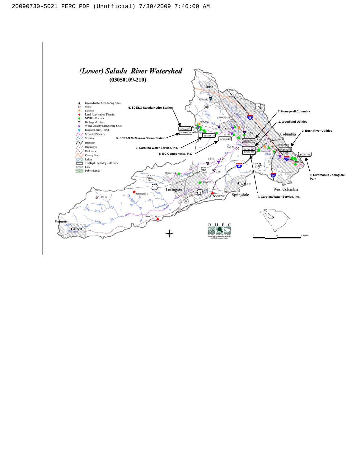